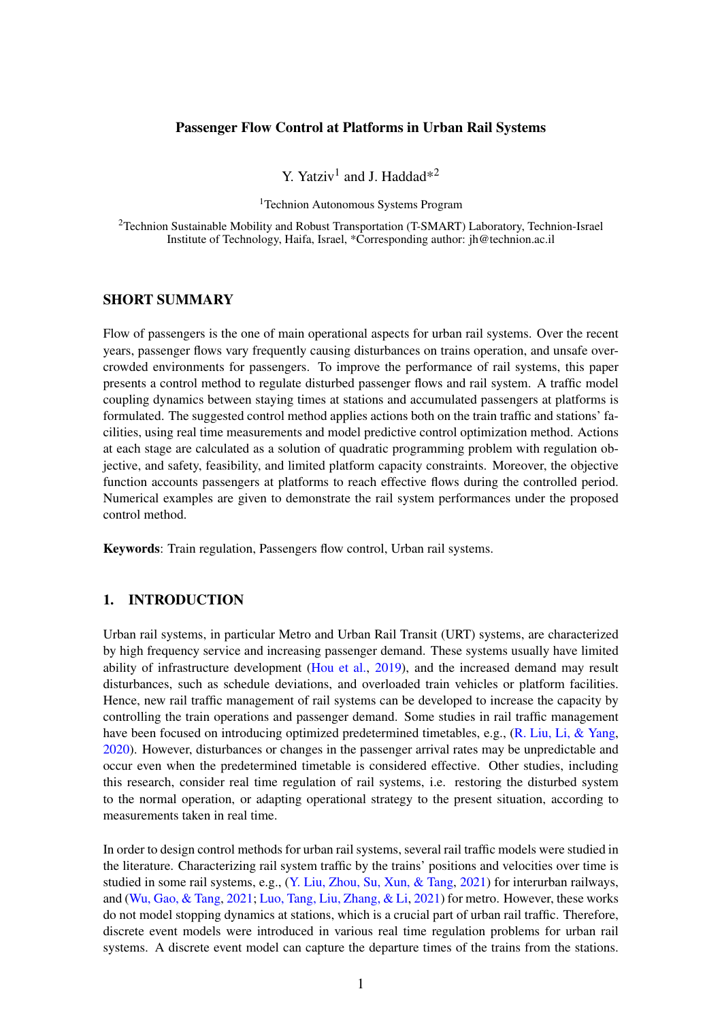# Passenger Flow Control at Platforms in Urban Rail Systems

Y. Yatziv<sup>1</sup> and J. Haddad\*<sup>2</sup>

<sup>1</sup>Technion Autonomous Systems Program

<sup>2</sup>Technion Sustainable Mobility and Robust Transportation (T-SMART) Laboratory, Technion-Israel Institute of Technology, Haifa, Israel, \*Corresponding author: jh@technion.ac.il

### SHORT SUMMARY

Flow of passengers is the one of main operational aspects for urban rail systems. Over the recent years, passenger flows vary frequently causing disturbances on trains operation, and unsafe overcrowded environments for passengers. To improve the performance of rail systems, this paper presents a control method to regulate disturbed passenger flows and rail system. A traffic model coupling dynamics between staying times at stations and accumulated passengers at platforms is formulated. The suggested control method applies actions both on the train traffic and stations' facilities, using real time measurements and model predictive control optimization method. Actions at each stage are calculated as a solution of quadratic programming problem with regulation objective, and safety, feasibility, and limited platform capacity constraints. Moreover, the objective function accounts passengers at platforms to reach effective flows during the controlled period. Numerical examples are given to demonstrate the rail system performances under the proposed control method.

Keywords: Train regulation, Passengers flow control, Urban rail systems.

# 1. INTRODUCTION

Urban rail systems, in particular Metro and Urban Rail Transit (URT) systems, are characterized by high frequency service and increasing passenger demand. These systems usually have limited ability of infrastructure development [\(Hou et al.,](#page-8-0) [2019\)](#page-8-0), and the increased demand may result disturbances, such as schedule deviations, and overloaded train vehicles or platform facilities. Hence, new rail traffic management of rail systems can be developed to increase the capacity by controlling the train operations and passenger demand. Some studies in rail traffic management have been focused on introducing optimized predetermined timetables, e.g., [\(R. Liu, Li, & Yang,](#page-8-1) [2020\)](#page-8-1). However, disturbances or changes in the passenger arrival rates may be unpredictable and occur even when the predetermined timetable is considered effective. Other studies, including this research, consider real time regulation of rail systems, i.e. restoring the disturbed system to the normal operation, or adapting operational strategy to the present situation, according to measurements taken in real time.

In order to design control methods for urban rail systems, several rail traffic models were studied in the literature. Characterizing rail system traffic by the trains' positions and velocities over time is studied in some rail systems, e.g., [\(Y. Liu, Zhou, Su, Xun, & Tang,](#page-8-2) [2021\)](#page-8-2) for interurban railways, and [\(Wu, Gao, & Tang,](#page-9-0) [2021;](#page-9-0) [Luo, Tang, Liu, Zhang, & Li,](#page-8-3) [2021\)](#page-8-3) for metro. However, these works do not model stopping dynamics at stations, which is a crucial part of urban rail traffic. Therefore, discrete event models were introduced in various real time regulation problems for urban rail systems. A discrete event model can capture the departure times of the trains from the stations.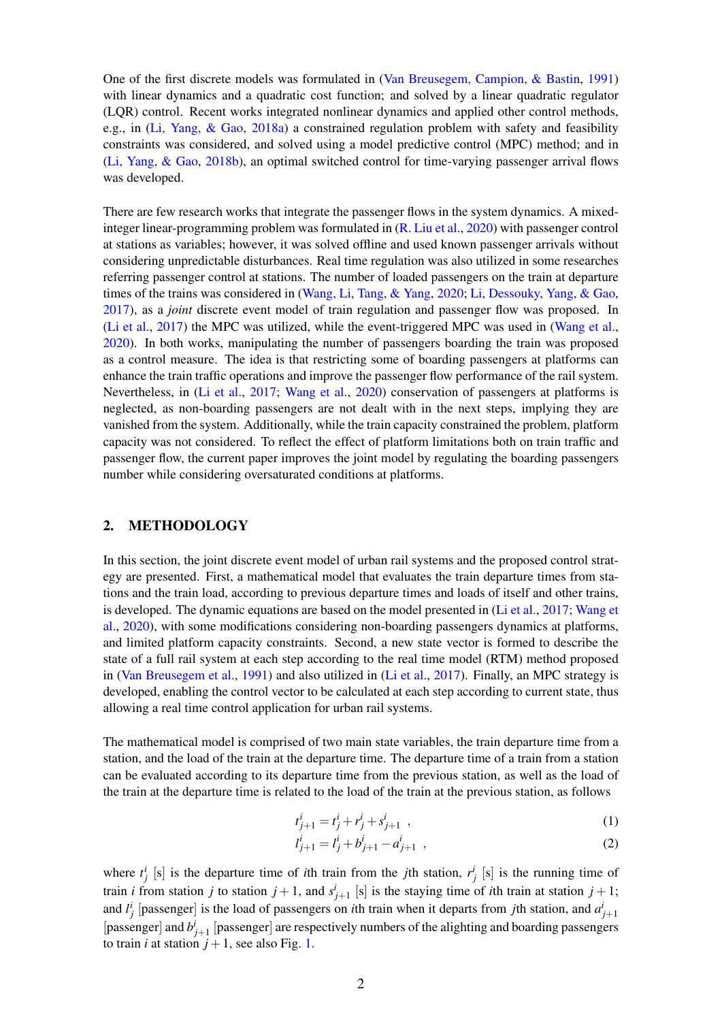One of the first discrete models was formulated in [\(Van Breusegem, Campion, & Bastin,](#page-8-4) [1991\)](#page-8-4) with linear dynamics and a quadratic cost function; and solved by a linear quadratic regulator (LQR) control. Recent works integrated nonlinear dynamics and applied other control methods, e.g., in [\(Li, Yang, & Gao,](#page-8-5) [2018a\)](#page-8-5) a constrained regulation problem with safety and feasibility constraints was considered, and solved using a model predictive control (MPC) method; and in [\(Li, Yang, & Gao,](#page-8-6) [2018b\)](#page-8-6), an optimal switched control for time-varying passenger arrival flows was developed.

There are few research works that integrate the passenger flows in the system dynamics. A mixedinteger linear-programming problem was formulated in [\(R. Liu et al.,](#page-8-1) [2020\)](#page-8-1) with passenger control at stations as variables; however, it was solved offline and used known passenger arrivals without considering unpredictable disturbances. Real time regulation was also utilized in some researches referring passenger control at stations. The number of loaded passengers on the train at departure times of the trains was considered in [\(Wang, Li, Tang, & Yang,](#page-8-7) [2020;](#page-8-7) [Li, Dessouky, Yang, & Gao,](#page-8-8) [2017\)](#page-8-8), as a *joint* discrete event model of train regulation and passenger flow was proposed. In [\(Li et al.,](#page-8-8) [2017\)](#page-8-8) the MPC was utilized, while the event-triggered MPC was used in [\(Wang et al.,](#page-8-7) [2020\)](#page-8-7). In both works, manipulating the number of passengers boarding the train was proposed as a control measure. The idea is that restricting some of boarding passengers at platforms can enhance the train traffic operations and improve the passenger flow performance of the rail system. Nevertheless, in [\(Li et al.,](#page-8-8) [2017;](#page-8-8) [Wang et al.,](#page-8-7) [2020\)](#page-8-7) conservation of passengers at platforms is neglected, as non-boarding passengers are not dealt with in the next steps, implying they are vanished from the system. Additionally, while the train capacity constrained the problem, platform capacity was not considered. To reflect the effect of platform limitations both on train traffic and passenger flow, the current paper improves the joint model by regulating the boarding passengers number while considering oversaturated conditions at platforms.

#### 2. METHODOLOGY

In this section, the joint discrete event model of urban rail systems and the proposed control strategy are presented. First, a mathematical model that evaluates the train departure times from stations and the train load, according to previous departure times and loads of itself and other trains, is developed. The dynamic equations are based on the model presented in [\(Li et al.,](#page-8-8) [2017;](#page-8-8) [Wang et](#page-8-7) [al.,](#page-8-7) [2020\)](#page-8-7), with some modifications considering non-boarding passengers dynamics at platforms, and limited platform capacity constraints. Second, a new state vector is formed to describe the state of a full rail system at each step according to the real time model (RTM) method proposed in [\(Van Breusegem et al.,](#page-8-4) [1991\)](#page-8-4) and also utilized in [\(Li et al.,](#page-8-8) [2017\)](#page-8-8). Finally, an MPC strategy is developed, enabling the control vector to be calculated at each step according to current state, thus allowing a real time control application for urban rail systems.

The mathematical model is comprised of two main state variables, the train departure time from a station, and the load of the train at the departure time. The departure time of a train from a station can be evaluated according to its departure time from the previous station, as well as the load of the train at the departure time is related to the load of the train at the previous station, as follows

<span id="page-1-1"></span><span id="page-1-0"></span>
$$
t_{j+1}^i = t_j^i + r_j^i + s_{j+1}^i \t\t(1)
$$

$$
l_{j+1}^i = l_j^i + b_{j+1}^i - a_{j+1}^i \t\t(2)
$$

where  $t_j^i$  [s] is the departure time of *i*th train from the *j*th station,  $r_j^i$  [s] is the running time of train *i* from station *j* to station  $j + 1$ , and  $s^{i}_{j+1}$  [s] is the staying time of *i*th train at station  $j + 1$ ; and  $l_j^i$  [passenger] is the load of passengers on *i*th train when it departs from *j*th station, and  $a_{j+1}^i$ [passenger] and  $b_{j+1}^i$  [passenger] are respectively numbers of the alighting and boarding passengers to train *i* at station  $j + 1$ , see also Fig. [1.](#page-2-0)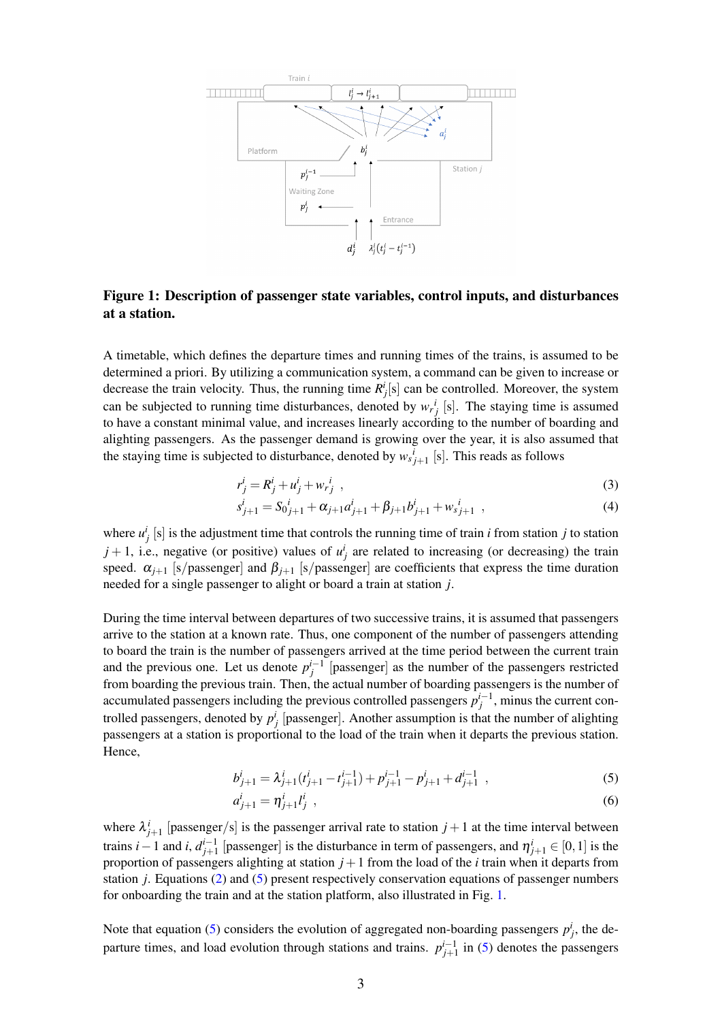<span id="page-2-0"></span>

#### Figure 1: Description of passenger state variables, control inputs, and disturbances at a station.

A timetable, which defines the departure times and running times of the trains, is assumed to be determined a priori. By utilizing a communication system, a command can be given to increase or decrease the train velocity. Thus, the running time  $R_j^i[s]$  can be controlled. Moreover, the system can be subjected to running time disturbances, denoted by  $w_r^i$  [s]. The staying time is assumed to have a constant minimal value, and increases linearly according to the number of boarding and alighting passengers. As the passenger demand is growing over the year, it is also assumed that the staying time is subjected to disturbance, denoted by  $w_{s}^{i}_{j+1}$  [s]. This reads as follows

<span id="page-2-2"></span>
$$
r_j^i = R_j^i + u_j^i + w_{rj}^i \tag{3}
$$

$$
s_{j+1}^i = S_0{}_{j+1}^i + \alpha_{j+1} a_{j+1}^i + \beta_{j+1} b_{j+1}^i + w_{j+1}^i , \qquad (4)
$$

where  $u_j^i$  [s] is the adjustment time that controls the running time of train *i* from station *j* to station  $j + 1$ , i.e., negative (or positive) values of  $u_j^i$  are related to increasing (or decreasing) the train speed.  $\alpha_{j+1}$  [s/passenger] and  $\beta_{j+1}$  [s/passenger] are coefficients that express the time duration needed for a single passenger to alight or board a train at station *j*.

During the time interval between departures of two successive trains, it is assumed that passengers arrive to the station at a known rate. Thus, one component of the number of passengers attending to board the train is the number of passengers arrived at the time period between the current train and the previous one. Let us denote  $p_j^{i-1}$  [passenger] as the number of the passengers restricted from boarding the previous train. Then, the actual number of boarding passengers is the number of accumulated passengers including the previous controlled passengers  $p_j^{i-1}$ , minus the current controlled passengers, denoted by  $p_j^i$  [passenger]. Another assumption is that the number of alighting passengers at a station is proportional to the load of the train when it departs the previous station. Hence,

<span id="page-2-1"></span>
$$
b_{j+1}^i = \lambda_{j+1}^i (t_{j+1}^i - t_{j+1}^{i-1}) + p_{j+1}^{i-1} - p_{j+1}^i + d_{j+1}^{i-1} , \qquad (5)
$$

<span id="page-2-3"></span>
$$
a_{j+1}^i = \eta_{j+1}^i l_j^i \t\t(6)
$$

where  $\lambda_{j+1}^i$  [passenger/s] is the passenger arrival rate to station  $j+1$  at the time interval between trains *i* − 1 and *i*,  $d_{j+1}^{i-1}$  [passenger] is the disturbance in term of passengers, and  $\eta_{j+1}^i \in [0,1]$  is the proportion of passengers alighting at station  $j+1$  from the load of the *i* train when it departs from station *j*. Equations [\(2\)](#page-1-0) and [\(5\)](#page-2-1) present respectively conservation equations of passenger numbers for onboarding the train and at the station platform, also illustrated in Fig. [1.](#page-2-0)

Note that equation [\(5\)](#page-2-1) considers the evolution of aggregated non-boarding passengers  $p_j^i$ , the departure times, and load evolution through stations and trains.  $p_{j+1}^{i-1}$  in [\(5\)](#page-2-1) denotes the passengers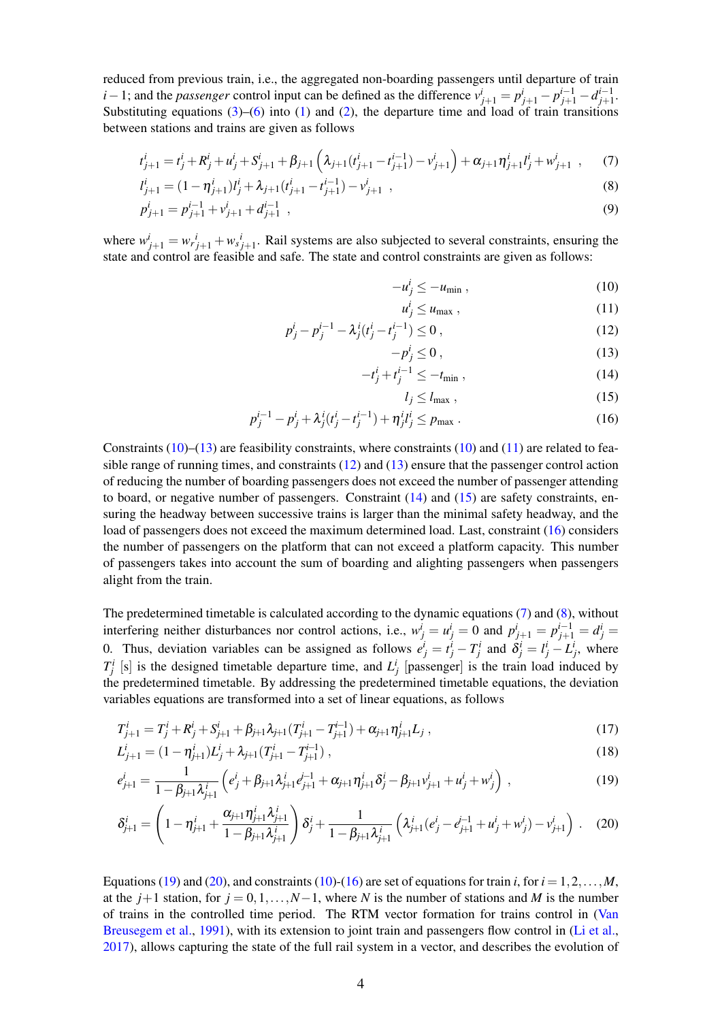reduced from previous train, i.e., the aggregated non-boarding passengers until departure of train *i* − 1; and the *passenger* control input can be defined as the difference  $v_{j+1}^i = p_{j+1}^i - p_{j+1}^{i-1} - d_{j+1}^{i-1}$ . Substituting equations  $(3)$ – $(6)$  into  $(1)$  and  $(2)$ , the departure time and load of train transitions between stations and trains are given as follows

$$
t_{j+1}^i = t_j^i + R_j^i + u_j^i + S_{j+1}^i + \beta_{j+1} \left( \lambda_{j+1} (t_{j+1}^i - t_{j+1}^{i-1}) - v_{j+1}^i \right) + \alpha_{j+1} \eta_{j+1}^i t_j^i + w_{j+1}^i , \qquad (7)
$$

$$
l_{j+1}^i = (1 - \eta_{j+1}^i)l_j^i + \lambda_{j+1}(t_{j+1}^i - t_{j+1}^{i-1}) - v_{j+1}^i \t\t(8)
$$

$$
p_{j+1}^i = p_{j+1}^{i-1} + v_{j+1}^i + d_{j+1}^{i-1} \t\t(9)
$$

where  $w_{j+1}^i = w_{rj+1}^i + w_{sj+1}^i$ . Rail systems are also subjected to several constraints, ensuring the state and control are feasible and safe. The state and control constraints are given as follows:

<span id="page-3-8"></span><span id="page-3-7"></span><span id="page-3-2"></span><span id="page-3-0"></span>
$$
-u_j^i \le -u_{\min} \,, \tag{10}
$$

$$
u_j^i \le u_{\text{max}} \,, \tag{11}
$$

$$
p_j^i - p_j^{i-1} - \lambda_j^i (t_j^i - t_j^{i-1}) \le 0,
$$
\n(12)

$$
-p_j^i \le 0\,,\tag{13}
$$

$$
-t_j^i + t_j^{i-1} \le -t_{\min} , \qquad (14)
$$

<span id="page-3-10"></span><span id="page-3-9"></span><span id="page-3-6"></span><span id="page-3-5"></span><span id="page-3-4"></span><span id="page-3-3"></span><span id="page-3-1"></span>
$$
l_j \le l_{\text{max}} \,,\tag{15}
$$

$$
p_j^{i-1} - p_j^i + \lambda_j^i (t_j^i - t_j^{i-1}) + \eta_j^i t_j^i \le p_{\max} \,. \tag{16}
$$

Constraints  $(10)$ – $(13)$  are feasibility constraints, where constraints  $(10)$  and  $(11)$  are related to feasible range of running times, and constraints  $(12)$  and  $(13)$  ensure that the passenger control action of reducing the number of boarding passengers does not exceed the number of passenger attending to board, or negative number of passengers. Constraint  $(14)$  and  $(15)$  are safety constraints, ensuring the headway between successive trains is larger than the minimal safety headway, and the load of passengers does not exceed the maximum determined load. Last, constraint [\(16\)](#page-3-6) considers the number of passengers on the platform that can not exceed a platform capacity. This number of passengers takes into account the sum of boarding and alighting passengers when passengers alight from the train.

The predetermined timetable is calculated according to the dynamic equations [\(7\)](#page-3-7) and [\(8\)](#page-3-8), without interfering neither disturbances nor control actions, i.e.,  $w_j^i = u_j^i = 0$  and  $p_{j+1}^i = p_{j+1}^{i-1} = d_j^i =$ 0. Thus, deviation variables can be assigned as follows  $e^i_j = t^i_j - T^i_j$  and  $\delta^i_j = t^i_j - L^i_j$ , where  $T_j^i$  [s] is the designed timetable departure time, and  $L_j^i$  [passenger] is the train load induced by the predetermined timetable. By addressing the predetermined timetable equations, the deviation variables equations are transformed into a set of linear equations, as follows

$$
T_{j+1}^i = T_j^i + R_j^i + S_{j+1}^i + \beta_{j+1} \lambda_{j+1} (T_{j+1}^i - T_{j+1}^{i-1}) + \alpha_{j+1} \eta_{j+1}^i L_j,
$$
\n(17)

$$
L_{j+1}^{i} = (1 - \eta_{j+1}^{i})L_{j}^{i} + \lambda_{j+1}(T_{j+1}^{i} - T_{j+1}^{i-1}),
$$
\n(18)

$$
e_{j+1}^i = \frac{1}{1 - \beta_{j+1} \lambda_{j+1}^i} \left( e_j^i + \beta_{j+1} \lambda_{j+1}^i e_{j+1}^{i-1} + \alpha_{j+1} \eta_{j+1}^i \delta_j^i - \beta_{j+1} v_{j+1}^i + u_j^i + w_j^i \right) ,
$$
\n(19)

$$
\delta_{j+1}^i = \left(1 - \eta_{j+1}^i + \frac{\alpha_{j+1}\eta_{j+1}^i\lambda_{j+1}^i}{1 - \beta_{j+1}\lambda_{j+1}^i}\right)\delta_j^i + \frac{1}{1 - \beta_{j+1}\lambda_{j+1}^i}\left(\lambda_{j+1}^i(e_j^i - e_{j+1}^{i-1} + u_j^i + w_j^i) - v_{j+1}^i\right). \tag{20}
$$

Equations [\(19\)](#page-3-9) and [\(20\)](#page-3-10), and constraints [\(10\)](#page-3-0)-[\(16\)](#page-3-6) are set of equations for train *i*, for  $i = 1, 2, ..., M$ , at the  $j+1$  station, for  $j = 0, 1, ..., N-1$ , where *N* is the number of stations and *M* is the number of trains in the controlled time period. The RTM vector formation for trains control in [\(Van](#page-8-4) [Breusegem et al.,](#page-8-4) [1991\)](#page-8-4), with its extension to joint train and passengers flow control in [\(Li et al.,](#page-8-8) [2017\)](#page-8-8), allows capturing the state of the full rail system in a vector, and describes the evolution of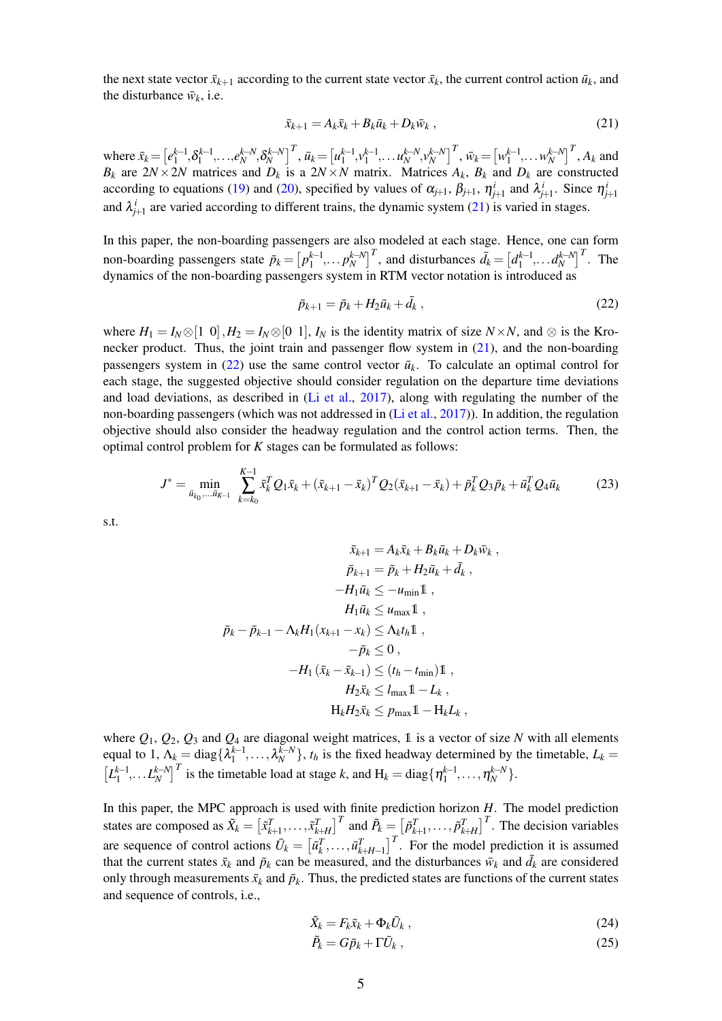the next state vector  $\bar{x}_{k+1}$  according to the current state vector  $\bar{x}_k$ , the current control action  $\bar{u}_k$ , and the disturbance  $\bar{w}_k$ , i.e.

<span id="page-4-0"></span>
$$
\bar{x}_{k+1} = A_k \bar{x}_k + B_k \bar{u}_k + D_k \bar{w}_k , \qquad (21)
$$

where  $\bar{x}_k = \left[e_1^{k-1}, \delta_1^{k-1}, \dots, e_N^{k-N}, \delta_N^{k-N}\right]^T$ ,  $\bar{u}_k = \left[u_1^{k-1}, v_1^{k-1}, \dots, u_N^{k-N}, v_N^{k-N}\right]^T$ ,  $\bar{w}_k = \left[w_1^{k-1}, \dots, w_N^{k-N}\right]^T$ ,  $A_k$  and *B*<sub>*k*</sub> are  $2N \times 2N$  matrices and *D*<sub>*k*</sub> is a  $2N \times N$  matrix. Matrices  $A_k$ ,  $B_k$  and  $D_k$  are constructed according to equations [\(19\)](#page-3-9) and [\(20\)](#page-3-10), specified by values of  $\alpha_{j+1}$ ,  $\beta_{j+1}$ ,  $\eta_{j+1}^i$  and  $\lambda_{j+1}^i$ . Since  $\eta_{j+1}^i$ and  $\lambda_{j+1}^i$  are varied according to different trains, the dynamic system [\(21\)](#page-4-0) is varied in stages.

In this paper, the non-boarding passengers are also modeled at each stage. Hence, one can form non-boarding passengers state  $\bar{p}_k = \left[p_1^{k-1}, \ldots p_N^{k-N}\right]^T$ , and disturbances  $\bar{d}_k = \left[d_1^{k-1}, \ldots d_N^{k-N}\right]^T$ . The dynamics of the non-boarding passengers system in RTM vector notation is introduced as

<span id="page-4-2"></span><span id="page-4-1"></span>
$$
\bar{p}_{k+1} = \bar{p}_k + H_2 \bar{u}_k + \bar{d}_k , \qquad (22)
$$

where  $H_1 = I_N \otimes [1 \; 0], H_2 = I_N \otimes [0 \; 1], I_N$  is the identity matrix of size  $N \times N$ , and  $\otimes$  is the Kronecker product. Thus, the joint train and passenger flow system in  $(21)$ , and the non-boarding passengers system in  $(22)$  use the same control vector  $\bar{u}_k$ . To calculate an optimal control for each stage, the suggested objective should consider regulation on the departure time deviations and load deviations, as described in [\(Li et al.,](#page-8-8) [2017\)](#page-8-8), along with regulating the number of the non-boarding passengers (which was not addressed in [\(Li et al.,](#page-8-8) [2017\)](#page-8-8)). In addition, the regulation objective should also consider the headway regulation and the control action terms. Then, the optimal control problem for *K* stages can be formulated as follows:

$$
J^* = \min_{\bar{u}_{k_0}, \dots, \bar{u}_{K-1}} \sum_{k=k_0}^{K-1} \bar{x}_k^T Q_1 \bar{x}_k + (\bar{x}_{k+1} - \bar{x}_k)^T Q_2 (\bar{x}_{k+1} - \bar{x}_k) + \bar{p}_k^T Q_3 \bar{p}_k + \bar{u}_k^T Q_4 \bar{u}_k \tag{23}
$$

s.t.

$$
\bar{x}_{k+1} = A_k \bar{x}_k + B_k \bar{u}_k + D_k \bar{w}_k ,
$$
  
\n
$$
\bar{p}_{k+1} = \bar{p}_k + H_2 \bar{u}_k + \bar{d}_k ,
$$
  
\n
$$
-H_1 \bar{u}_k \le -u_{\min} \mathbb{1} ,
$$
  
\n
$$
H_1 \bar{u}_k \le u_{\max} \mathbb{1} ,
$$
  
\n
$$
\bar{p}_k - \bar{p}_{k-1} - \Lambda_k H_1(x_{k+1} - x_k) \le \Lambda_k t_h \mathbb{1} ,
$$
  
\n
$$
-\bar{p}_k \le 0 ,
$$
  
\n
$$
-H_1(\bar{x}_k - \bar{x}_{k-1}) \le (t_h - t_{\min}) \mathbb{1} ,
$$
  
\n
$$
H_2 \bar{x}_k \le l_{\max} \mathbb{1} - L_k ,
$$
  
\n
$$
H_k H_2 \bar{x}_k \le p_{\max} \mathbb{1} - H_k L_k ,
$$

where  $Q_1$ ,  $Q_2$ ,  $Q_3$  and  $Q_4$  are diagonal weight matrices, 1 is a vector of size *N* with all elements equal to 1,  $\Lambda_k = \text{diag}\{\lambda_1^{k-1}, \ldots, \lambda_N^{k-N}\}, t_h$  is the fixed headway determined by the timetable,  $L_k =$  $\left[L_1^{k-1}, \ldots, L_N^{k-N}\right]^T$  is the timetable load at stage *k*, and  $H_k = \text{diag}\{\eta_1^{k-1}, \ldots, \eta_N^{k-N}\}.$ 

In this paper, the MPC approach is used with finite prediction horizon *H*. The model prediction states are composed as  $\tilde{X}_k = [\tilde{x}_{k+1}^T, \dots, \tilde{x}_{k+H}^T]^T$  and  $\tilde{P}_k = [\tilde{p}_{k+1}^T, \dots, \tilde{p}_{k+H}^T]^T$ . The decision variables are sequence of control actions  $\bar{U}_k = \begin{bmatrix} \bar{u}_k^T, \dots, \bar{u}_{k+H-1}^T \end{bmatrix}^T$ . For the model prediction it is assumed that the current states  $\bar{x}_k$  and  $\bar{p}_k$  can be measured, and the disturbances  $\bar{w}_k$  and  $\bar{d}_k$  are considered only through measurements  $\bar{x}_k$  and  $\bar{p}_k$ . Thus, the predicted states are functions of the current states and sequence of controls, i.e.,

$$
\tilde{X}_k = F_k \bar{x}_k + \Phi_k \bar{U}_k \,, \tag{24}
$$

$$
\tilde{P}_k = G\bar{p}_k + \Gamma \bar{U}_k \,,\tag{25}
$$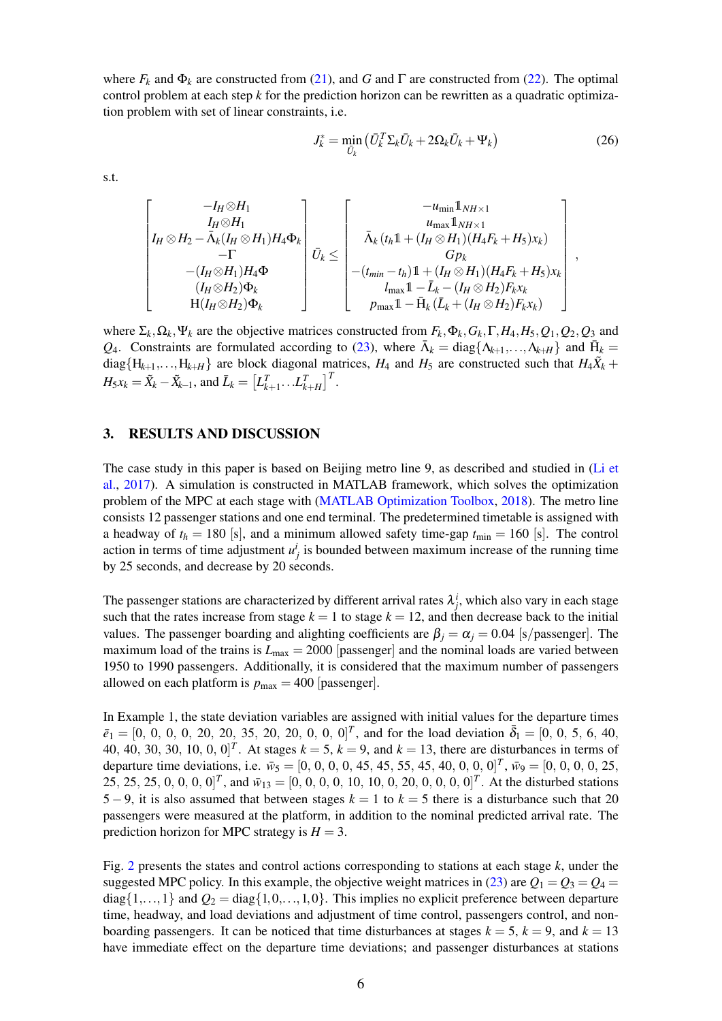where  $F_k$  and  $\Phi_k$  are constructed from [\(21\)](#page-4-0), and *G* and  $\Gamma$  are constructed from [\(22\)](#page-4-1). The optimal control problem at each step *k* for the prediction horizon can be rewritten as a quadratic optimization problem with set of linear constraints, i.e.

$$
J_k^* = \min_{\bar{U}_k} \left( \bar{U}_k^T \Sigma_k \bar{U}_k + 2\Omega_k \bar{U}_k + \Psi_k \right) \tag{26}
$$

s.t.

$$
\begin{bmatrix}\n-I_H \otimes H_1 \\
I_H \otimes H_2 - \bar{\Lambda}_k (I_H \otimes H_1) H_4 \Phi_k \\
-I \\
-(I_H \otimes H_1) H_4 \Phi \\
\begin{array}{c}\n(I_H \otimes H_2) \Phi_k \\
H(I_H \otimes H_2) \Phi_k\n\end{array}\n\end{bmatrix} \vec{U}_k \le \begin{bmatrix}\n-u_{\min} \mathbb{1}_{NH \times 1} \\
u_{\max} \mathbb{1}_{NH \times 1} \\
\bar{\Lambda}_k (t_h \mathbb{1} + (I_H \otimes H_1) (H_4 F_k + H_5) x_k) \\
G p_k \\
-(t_{\min} - t_h) \mathbb{1} + (I_H \otimes H_1) (H_4 F_k + H_5) x_k \\
I_{\max} \mathbb{1} - \bar{L}_k - (I_H \otimes H_2) F_k x_k \\
I_{\max} \mathbb{1} - \bar{H}_k (\bar{L}_k + (I_H \otimes H_2) F_k x_k)\n\end{bmatrix},
$$

where  $\Sigma_k, \Omega_k, \Psi_k$  are the objective matrices constructed from  $F_k, \Phi_k, G_k, \Gamma, H_4, H_5, Q_1, Q_2, Q_3$  and *Q*<sub>4</sub>. Constraints are formulated according to [\(23\)](#page-4-2), where  $\bar{\Lambda}_k = \text{diag}\{\Lambda_{k+1},...,\Lambda_{k+H}\}\$  and  $\bar{H}_k =$  $diag{H_{k+1},...,H_{k+H}}$  are block diagonal matrices,  $H_4$  and  $H_5$  are constructed such that  $H_4\tilde{X}_k$  +  $H_5x_k = \tilde{X}_k - \tilde{X}_{k-1}$ , and  $\bar{L}_k = \begin{bmatrix} L_{k+1}^T \dots L_{k+H}^T \end{bmatrix}^T$ .

#### 3. RESULTS AND DISCUSSION

The case study in this paper is based on Beijing metro line 9, as described and studied in [\(Li et](#page-8-8) [al.,](#page-8-8) [2017\)](#page-8-8). A simulation is constructed in MATLAB framework, which solves the optimization problem of the MPC at each stage with [\(MATLAB Optimization Toolbox,](#page-8-9) [2018\)](#page-8-9). The metro line consists 12 passenger stations and one end terminal. The predetermined timetable is assigned with a headway of  $t_h = 180$  [s], and a minimum allowed safety time-gap  $t_{\text{min}} = 160$  [s]. The control action in terms of time adjustment  $u^i_j$  is bounded between maximum increase of the running time by 25 seconds, and decrease by 20 seconds.

The passenger stations are characterized by different arrival rates  $\lambda_j^i$ , which also vary in each stage such that the rates increase from stage  $k = 1$  to stage  $k = 12$ , and then decrease back to the initial values. The passenger boarding and alighting coefficients are  $\beta_i = \alpha_j = 0.04$  [s/passenger]. The maximum load of the trains is  $L_{\text{max}} = 2000$  [passenger] and the nominal loads are varied between 1950 to 1990 passengers. Additionally, it is considered that the maximum number of passengers allowed on each platform is  $p_{\text{max}} = 400$  [passenger].

In Example 1, the state deviation variables are assigned with initial values for the departure times  $\bar{e}_1 = [0, 0, 0, 0, 20, 20, 35, 20, 20, 0, 0, 0]^T$ , and for the load deviation  $\bar{\delta}_1 = [0, 0, 5, 6, 40,$ 40, 40, 30, 30, 10, 0, 0]<sup>T</sup>. At stages  $k = 5$ ,  $k = 9$ , and  $k = 13$ , there are disturbances in terms of departure time deviations, i.e.  $\bar{w}_5 = [0, 0, 0, 0, 45, 45, 55, 45, 40, 0, 0, 0]^T$ ,  $\bar{w}_9 = [0, 0, 0, 0, 25,$ 25, 25, 25, 0, 0, 0, 0]<sup>T</sup>, and  $\bar{w}_{13} = [0, 0, 0, 0, 10, 10, 0, 20, 0, 0, 0, 0]$ <sup>T</sup>. At the disturbed stations 5 − 9, it is also assumed that between stages  $k = 1$  to  $k = 5$  there is a disturbance such that 20 passengers were measured at the platform, in addition to the nominal predicted arrival rate. The prediction horizon for MPC strategy is  $H = 3$ .

Fig. [2](#page-6-0) presents the states and control actions corresponding to stations at each stage *k*, under the suggested MPC policy. In this example, the objective weight matrices in [\(23\)](#page-4-2) are  $Q_1 = Q_3 = Q_4 =$  $diag\{1,...,1\}$  and  $Q_2 = diag\{1,0,...,1,0\}$ . This implies no explicit preference between departure time, headway, and load deviations and adjustment of time control, passengers control, and nonboarding passengers. It can be noticed that time disturbances at stages  $k = 5$ ,  $k = 9$ , and  $k = 13$ have immediate effect on the departure time deviations; and passenger disturbances at stations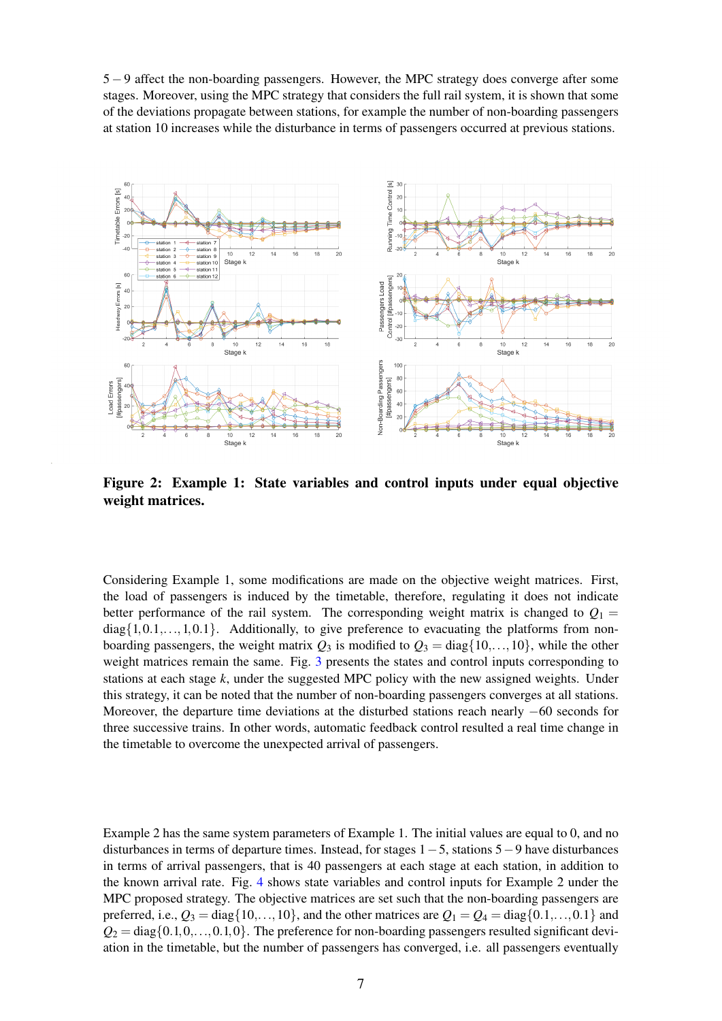5 − 9 affect the non-boarding passengers. However, the MPC strategy does converge after some stages. Moreover, using the MPC strategy that considers the full rail system, it is shown that some of the deviations propagate between stations, for example the number of non-boarding passengers at station 10 increases while the disturbance in terms of passengers occurred at previous stations.

<span id="page-6-0"></span>

Figure 2: Example 1: State variables and control inputs under equal objective weight matrices.

Considering Example 1, some modifications are made on the objective weight matrices. First, the load of passengers is induced by the timetable, therefore, regulating it does not indicate better performance of the rail system. The corresponding weight matrix is changed to  $Q_1 =$  $diag\{1,0.1,...,1,0.1\}$ . Additionally, to give preference to evacuating the platforms from nonboarding passengers, the weight matrix  $Q_3$  is modified to  $Q_3 = \text{diag}\{10,\ldots,10\}$ , while the other weight matrices remain the same. Fig. [3](#page-7-0) presents the states and control inputs corresponding to stations at each stage *k*, under the suggested MPC policy with the new assigned weights. Under this strategy, it can be noted that the number of non-boarding passengers converges at all stations. Moreover, the departure time deviations at the disturbed stations reach nearly −60 seconds for three successive trains. In other words, automatic feedback control resulted a real time change in the timetable to overcome the unexpected arrival of passengers.

Example 2 has the same system parameters of Example 1. The initial values are equal to 0, and no disturbances in terms of departure times. Instead, for stages 1−5, stations 5−9 have disturbances in terms of arrival passengers, that is 40 passengers at each stage at each station, in addition to the known arrival rate. Fig. [4](#page-7-1) shows state variables and control inputs for Example 2 under the MPC proposed strategy. The objective matrices are set such that the non-boarding passengers are preferred, i.e.,  $Q_3 = \text{diag}\{10,\ldots,10\}$ , and the other matrices are  $Q_1 = Q_4 = \text{diag}\{0.1,\ldots,0.1\}$  and  $Q_2 = \text{diag}\{0.1, 0, \ldots, 0.1, 0\}$ . The preference for non-boarding passengers resulted significant deviation in the timetable, but the number of passengers has converged, i.e. all passengers eventually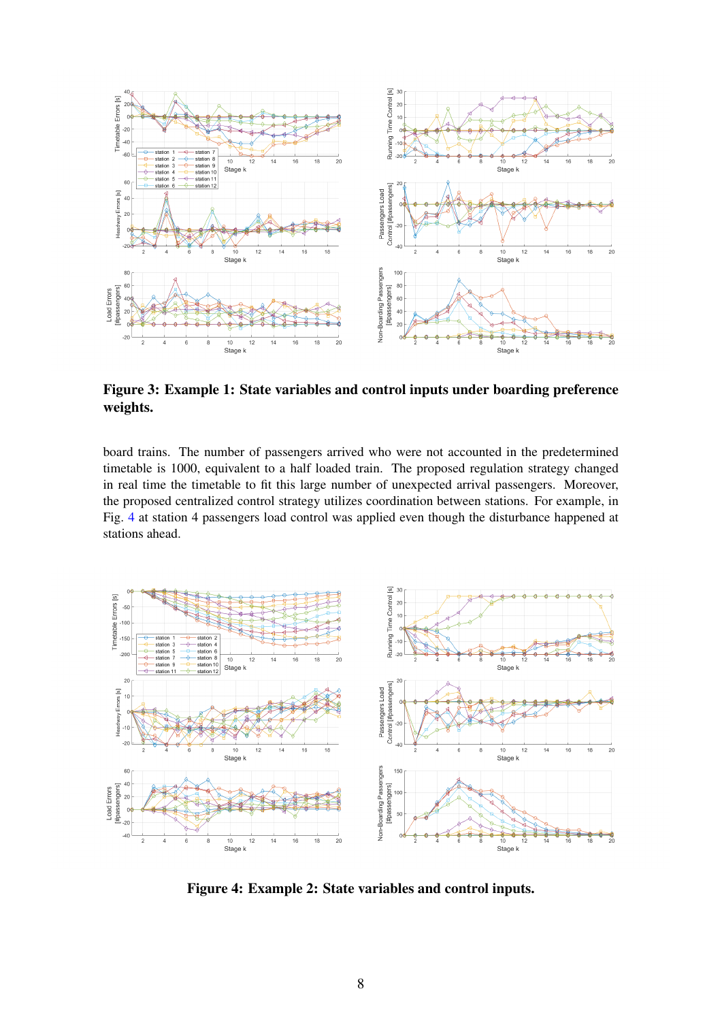<span id="page-7-0"></span>

Figure 3: Example 1: State variables and control inputs under boarding preference weights.

board trains. The number of passengers arrived who were not accounted in the predetermined timetable is 1000, equivalent to a half loaded train. The proposed regulation strategy changed in real time the timetable to fit this large number of unexpected arrival passengers. Moreover, the proposed centralized control strategy utilizes coordination between stations. For example, in Fig. [4](#page-7-1) at station 4 passengers load control was applied even though the disturbance happened at stations ahead.

<span id="page-7-1"></span>

Figure 4: Example 2: State variables and control inputs.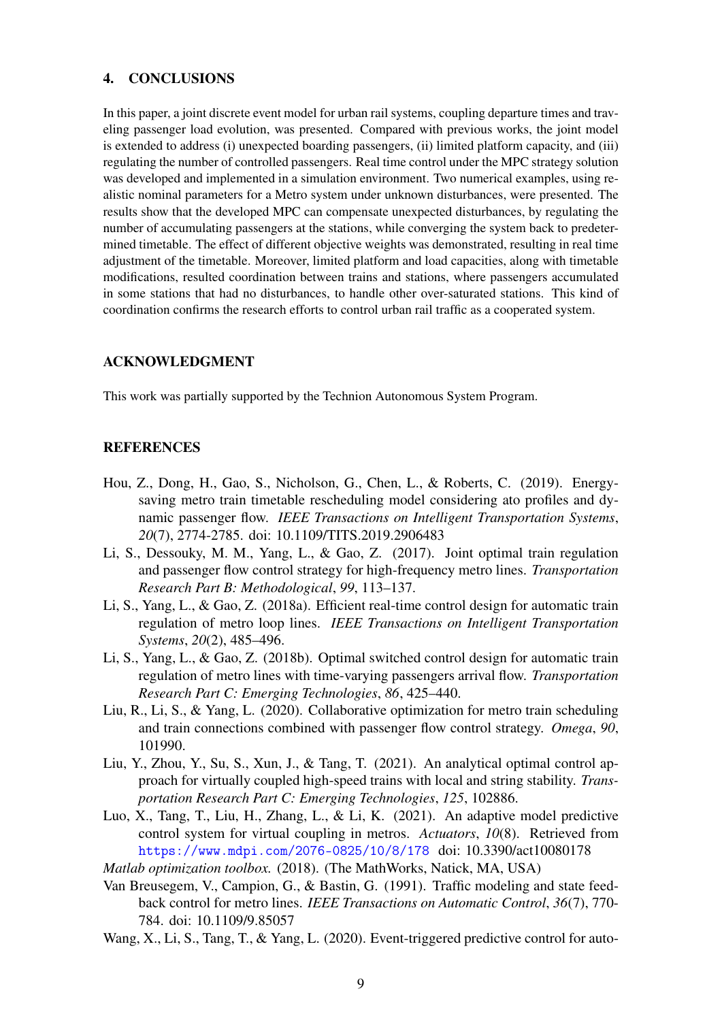### 4. CONCLUSIONS

In this paper, a joint discrete event model for urban rail systems, coupling departure times and traveling passenger load evolution, was presented. Compared with previous works, the joint model is extended to address (i) unexpected boarding passengers, (ii) limited platform capacity, and (iii) regulating the number of controlled passengers. Real time control under the MPC strategy solution was developed and implemented in a simulation environment. Two numerical examples, using realistic nominal parameters for a Metro system under unknown disturbances, were presented. The results show that the developed MPC can compensate unexpected disturbances, by regulating the number of accumulating passengers at the stations, while converging the system back to predetermined timetable. The effect of different objective weights was demonstrated, resulting in real time adjustment of the timetable. Moreover, limited platform and load capacities, along with timetable modifications, resulted coordination between trains and stations, where passengers accumulated in some stations that had no disturbances, to handle other over-saturated stations. This kind of coordination confirms the research efforts to control urban rail traffic as a cooperated system.

# ACKNOWLEDGMENT

This work was partially supported by the Technion Autonomous System Program.

# **REFERENCES**

- <span id="page-8-0"></span>Hou, Z., Dong, H., Gao, S., Nicholson, G., Chen, L., & Roberts, C. (2019). Energysaving metro train timetable rescheduling model considering ato profiles and dynamic passenger flow. *IEEE Transactions on Intelligent Transportation Systems*, *20*(7), 2774-2785. doi: 10.1109/TITS.2019.2906483
- <span id="page-8-8"></span>Li, S., Dessouky, M. M., Yang, L., & Gao, Z. (2017). Joint optimal train regulation and passenger flow control strategy for high-frequency metro lines. *Transportation Research Part B: Methodological*, *99*, 113–137.
- <span id="page-8-5"></span>Li, S., Yang, L., & Gao, Z. (2018a). Efficient real-time control design for automatic train regulation of metro loop lines. *IEEE Transactions on Intelligent Transportation Systems*, *20*(2), 485–496.
- <span id="page-8-6"></span>Li, S., Yang, L., & Gao, Z. (2018b). Optimal switched control design for automatic train regulation of metro lines with time-varying passengers arrival flow. *Transportation Research Part C: Emerging Technologies*, *86*, 425–440.
- <span id="page-8-1"></span>Liu, R., Li, S., & Yang, L. (2020). Collaborative optimization for metro train scheduling and train connections combined with passenger flow control strategy. *Omega*, *90*, 101990.
- <span id="page-8-2"></span>Liu, Y., Zhou, Y., Su, S., Xun, J., & Tang, T. (2021). An analytical optimal control approach for virtually coupled high-speed trains with local and string stability. *Transportation Research Part C: Emerging Technologies*, *125*, 102886.
- <span id="page-8-3"></span>Luo, X., Tang, T., Liu, H., Zhang, L., & Li, K. (2021). An adaptive model predictive control system for virtual coupling in metros. *Actuators*, *10*(8). Retrieved from <https://www.mdpi.com/2076-0825/10/8/178> doi: 10.3390/act10080178
- <span id="page-8-9"></span>*Matlab optimization toolbox.* (2018). (The MathWorks, Natick, MA, USA)
- <span id="page-8-4"></span>Van Breusegem, V., Campion, G., & Bastin, G. (1991). Traffic modeling and state feedback control for metro lines. *IEEE Transactions on Automatic Control*, *36*(7), 770- 784. doi: 10.1109/9.85057
- <span id="page-8-7"></span>Wang, X., Li, S., Tang, T., & Yang, L. (2020). Event-triggered predictive control for auto-